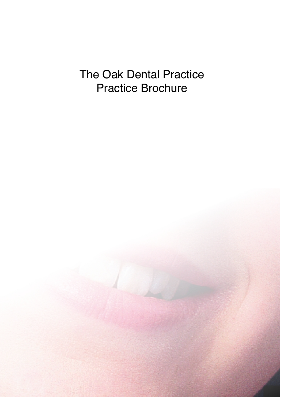# The Oak Dental Practice Practice Brochure

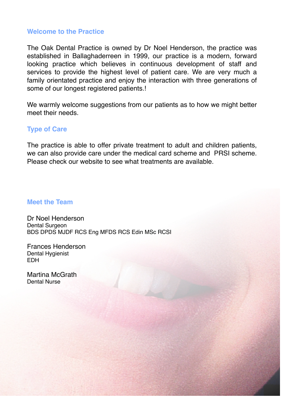# **Welcome to the Practice**

The Oak Dental Practice is owned by Dr Noel Henderson, the practice was established in Ballaghaderreen in 1999, our practice is a modern, forward looking practice which believes in continuous development of staff and services to provide the highest level of patient care. We are very much a family orientated practice and enjoy the interaction with three generations of some of our longest registered patients.!

We warmly welcome suggestions from our patients as to how we might better meet their needs.

# **Type of Care**

The practice is able to offer private treatment to adult and children patients, we can also provide care under the medical card scheme and PRSI scheme. Please check our website to see what treatments are available.

### **Meet the Team**

Dr Noel Henderson Dental Surgeon BDS DPDS MJDF RCS Eng MFDS RCS Edin MSc RCSI

Frances Henderson Dental Hygienist EDH

Martina McGrath Dental Nurse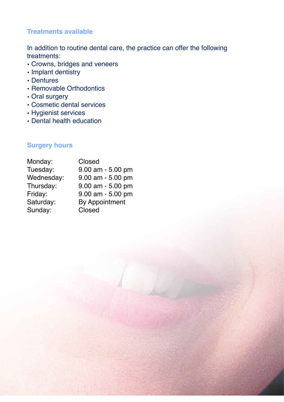# **Treatments available**

In addition to routine dental care, the practice can offer the following treatments:

- Crowns, bridges and veneers
- Implant dentistry
- Dentures
- Removable Orthodontics
- Oral surgery
- Cosmetic dental services
- Hygienist services
- Dental health education

# **Surgery hours**

| Monday:    | Closed                |
|------------|-----------------------|
| Tuesday:   | $9.00$ am - 5.00 pm   |
| Wednesday: | $9.00$ am - 5.00 pm   |
| Thursday:  | $9.00$ am - 5.00 pm   |
| Friday:    | $9.00$ am - 5.00 pm   |
| Saturday:  | <b>By Appointment</b> |
| Sunday:    | Closed                |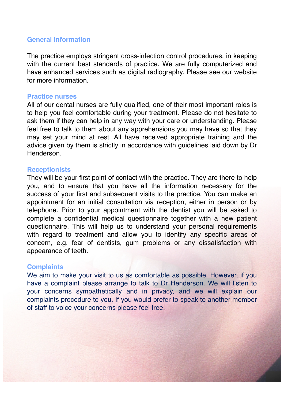# **General information**

The practice employs stringent cross-infection control procedures, in keeping with the current best standards of practice. We are fully computerized and have enhanced services such as digital radiography. Please see our website for more information.

#### **Practice nurses**

All of our dental nurses are fully qualified, one of their most important roles is to help you feel comfortable during your treatment. Please do not hesitate to ask them if they can help in any way with your care or understanding. Please feel free to talk to them about any apprehensions you may have so that they may set your mind at rest. All have received appropriate training and the advice given by them is strictly in accordance with guidelines laid down by Dr Henderson.

#### **Receptionists**

They will be your first point of contact with the practice. They are there to help you, and to ensure that you have all the information necessary for the success of your first and subsequent visits to the practice. You can make an appointment for an initial consultation via reception, either in person or by telephone. Prior to your appointment with the dentist you will be asked to complete a confidential medical questionnaire together with a new patient questionnaire. This will help us to understand your personal requirements with regard to treatment and allow you to identify any specific areas of concern, e.g. fear of dentists, gum problems or any dissatisfaction with appearance of teeth.

### **Complaints**

We aim to make your visit to us as comfortable as possible. However, if you have a complaint please arrange to talk to Dr Henderson. We will listen to your concerns sympathetically and in privacy, and we will explain our complaints procedure to you. If you would prefer to speak to another member of staff to voice your concerns please feel free.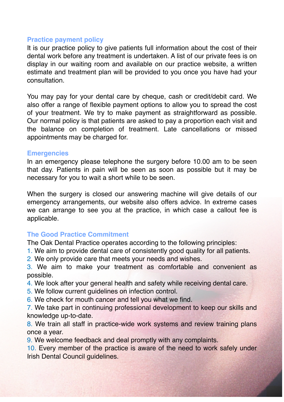# **Practice payment policy**

It is our practice policy to give patients full information about the cost of their dental work before any treatment is undertaken. A list of our private fees is on display in our waiting room and available on our practice website, a written estimate and treatment plan will be provided to you once you have had your consultation.

You may pay for your dental care by cheque, cash or credit/debit card. We also offer a range of flexible payment options to allow you to spread the cost of your treatment. We try to make payment as straightforward as possible. Our normal policy is that patients are asked to pay a proportion each visit and the balance on completion of treatment. Late cancellations or missed appointments may be charged for.

# **Emergencies**

In an emergency please telephone the surgery before 10.00 am to be seen that day. Patients in pain will be seen as soon as possible but it may be necessary for you to wait a short while to be seen.

When the surgery is closed our answering machine will give details of our emergency arrangements, our website also offers advice. In extreme cases we can arrange to see you at the practice, in which case a callout fee is applicable.

# **The Good Practice Commitment**

The Oak Dental Practice operates according to the following principles:

- 1. We aim to provide dental care of consistently good quality for all patients.
- 2. We only provide care that meets your needs and wishes.

3. We aim to make your treatment as comfortable and convenient as possible.

- 4. We look after your general health and safety while receiving dental care.
- 5. We follow current guidelines on infection control.
- 6. We check for mouth cancer and tell you what we find.

7. We take part in continuing professional development to keep our skills and knowledge up-to-date.

8. We train all staff in practice-wide work systems and review training plans once a year.

9. We welcome feedback and deal promptly with any complaints.

10. Every member of the practice is aware of the need to work safely under Irish Dental Council guidelines.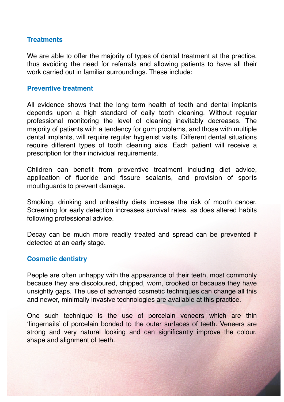# **Treatments**

We are able to offer the majority of types of dental treatment at the practice, thus avoiding the need for referrals and allowing patients to have all their work carried out in familiar surroundings. These include:

# **Preventive treatment**

All evidence shows that the long term health of teeth and dental implants depends upon a high standard of daily tooth cleaning. Without regular professional monitoring the level of cleaning inevitably decreases. The majority of patients with a tendency for gum problems, and those with multiple dental implants, will require regular hygienist visits. Different dental situations require different types of tooth cleaning aids. Each patient will receive a prescription for their individual requirements.

Children can benefit from preventive treatment including diet advice, application of fluoride and fissure sealants, and provision of sports mouthguards to prevent damage.

Smoking, drinking and unhealthy diets increase the risk of mouth cancer. Screening for early detection increases survival rates, as does altered habits following professional advice.

Decay can be much more readily treated and spread can be prevented if detected at an early stage.

# **Cosmetic dentistry**

People are often unhappy with the appearance of their teeth, most commonly because they are discoloured, chipped, worn, crooked or because they have unsightly gaps. The use of advanced cosmetic techniques can change all this and newer, minimally invasive technologies are available at this practice.

One such technique is the use of porcelain veneers which are thin 'fingernails' of porcelain bonded to the outer surfaces of teeth. Veneers are strong and very natural looking and can significantly improve the colour, shape and alignment of teeth.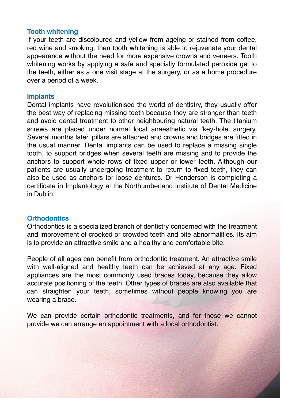# **Tooth whitening**

If your teeth are discoloured and yellow from ageing or stained from coffee, red wine and smoking, then tooth whitening is able to rejuvenate your dental appearance without the need for more expensive crowns and veneers. Tooth whitening works by applying a safe and specially formulated peroxide gel to the teeth, either as a one visit stage at the surgery, or as a home procedure over a period of a week.

## **Implants**

Dental implants have revolutionised the world of dentistry, they usually offer the best way of replacing missing teeth because they are stronger than teeth and avoid dental treatment to other neighbouring natural teeth. The titanium screws are placed under normal local anaesthetic via 'key-hole' surgery. Several months later, pillars are attached and crowns and bridges are fitted in the usual manner. Dental implants can be used to replace a missing single tooth, to support bridges when several teeth are missing and to provide the anchors to support whole rows of fixed upper or lower teeth. Although our patients are usually undergoing treatment to return to fixed teeth, they can also be used as anchors for loose dentures. Dr Henderson is completing a certificate in Implantology at the Northumberland Institute of Dental Medicine in Dublin.

# **Orthodontics**

Orthodontics is a specialized branch of dentistry concerned with the treatment and improvement of crooked or crowded teeth and bite abnormalities. Its aim is to provide an attractive smile and a healthy and comfortable bite.

People of all ages can benefit from orthodontic treatment. An attractive smile with well-aligned and healthy teeth can be achieved at any age. Fixed appliances are the most commonly used braces today, because they allow accurate positioning of the teeth. Other types of braces are also available that can straighten your teeth, sometimes without people knowing you are wearing a brace.

We can provide certain orthodontic treatments, and for those we cannot provide we can arrange an appointment with a local orthodontist.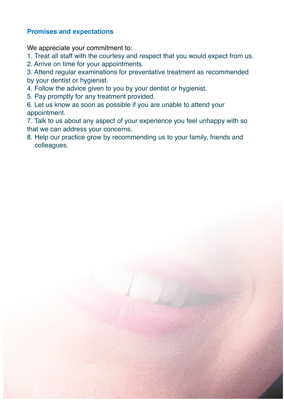# **Promises and expectations**

We appreciate your commitment to:

1. Treat all staff with the courtesy and respect that you would expect from us.

2. Arrive on time for your appointments.

3. Attend regular examinations for preventative treatment as recommended by your dentist or hygienist.

4. Follow the advice given to you by your dentist or hygienist.

5. Pay promptly for any treatment provided.

6. Let us know as soon as possible if you are unable to attend your appointment.

7. Talk to us about any aspect of your experience you feel unhappy with so that we can address your concerns.

8. Help our practice grow by recommending us to your family, friends and colleagues.